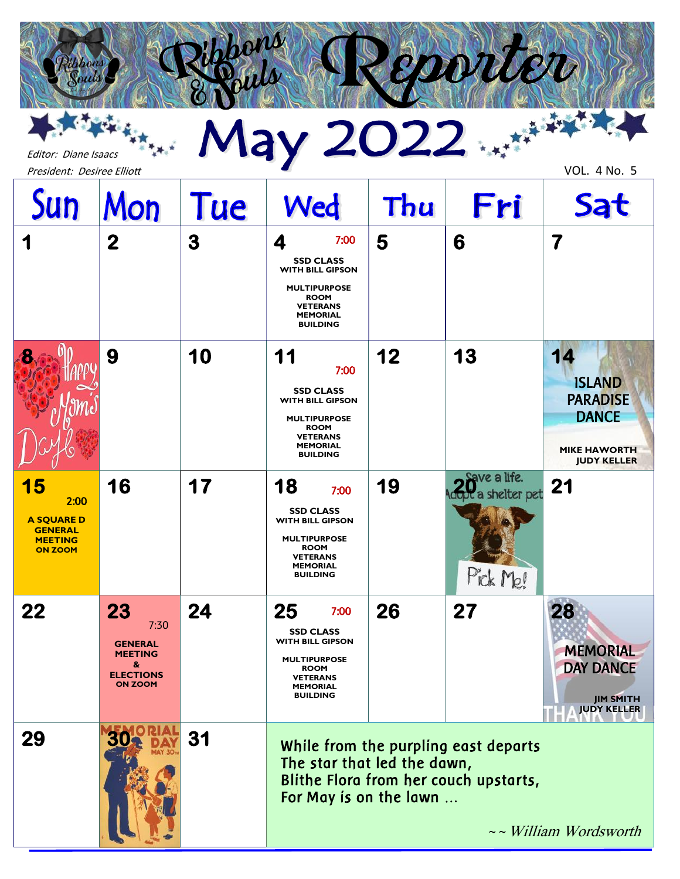# Editor: Diane Isaacs<br>President: Desiree Elliott VOL. 4 No. 5

*R*

epoule

rik k<sub>ik.</sub>

Editor: Diane Isaacs

| Sun                                                                                   | Mon                                                                                       | Tue | Wed                                                                                                                                                      | Thu | Fri                                                                           | Sat                                                                                                 |
|---------------------------------------------------------------------------------------|-------------------------------------------------------------------------------------------|-----|----------------------------------------------------------------------------------------------------------------------------------------------------------|-----|-------------------------------------------------------------------------------|-----------------------------------------------------------------------------------------------------|
| 1                                                                                     | $\mathbf 2$                                                                               | 3   | 7:00<br>4<br><b>SSD CLASS</b><br><b>WITH BILL GIPSON</b><br><b>MULTIPURPOSE</b><br><b>ROOM</b><br><b>VETERANS</b><br><b>MEMORIAL</b><br><b>BUILDING</b>  | 5   | 6                                                                             | 7                                                                                                   |
| 8                                                                                     | 9                                                                                         | 10  | 11<br>7:00<br><b>SSD CLASS</b><br><b>WITH BILL GIPSON</b><br><b>MULTIPURPOSE</b><br><b>ROOM</b><br><b>VETERANS</b><br><b>MEMORIAL</b><br><b>BUILDING</b> | 12  | 13                                                                            | 14<br><b>ISLAND</b><br><b>PARADISE</b><br><b>DANCE</b><br><b>MIKE HAWORTH</b><br><b>JUDY KELLER</b> |
| 15<br>2:00<br><b>A SQUARE D</b><br><b>GENERAL</b><br><b>MEETING</b><br><b>ON ZOOM</b> | 16                                                                                        | 17  | 18<br>7:00<br><b>SSD CLASS</b><br><b>WITH BILL GIPSON</b><br><b>MULTIPURPOSE</b><br><b>ROOM</b><br><b>VETERANS</b><br><b>MEMORIAL</b><br><b>BUILDING</b> | 19  | Save a life.<br><b>Iopt</b> a shelter pet<br>Pick Me!                         | 21                                                                                                  |
| 22                                                                                    | 23<br>7:30<br><b>GENERAL</b><br><b>MEETING</b><br>&<br><b>ELECTIONS</b><br><b>ON ZOOM</b> | 24  | 25<br>7:00<br><b>SSD CLASS</b><br><b>WITH BILL GIPSON</b><br><b>MULTIPURPOSE</b><br><b>ROOM</b><br>VETERANS<br><b>MEMORIAL</b><br><b>BUILDING</b>        | 26  | 27                                                                            | 28<br><b>MEMORIAL</b><br><b>DAY DANCE</b><br><b>JIM SMITH</b><br><b>JUDY KELLER</b>                 |
| 29                                                                                    |                                                                                           | 31  | The star that led the dawn,<br>For May is on the lawn                                                                                                    |     | While from the purpling east departs<br>Blithe Flora from her couch upstarts, | $\sim$ William Wordsworth                                                                           |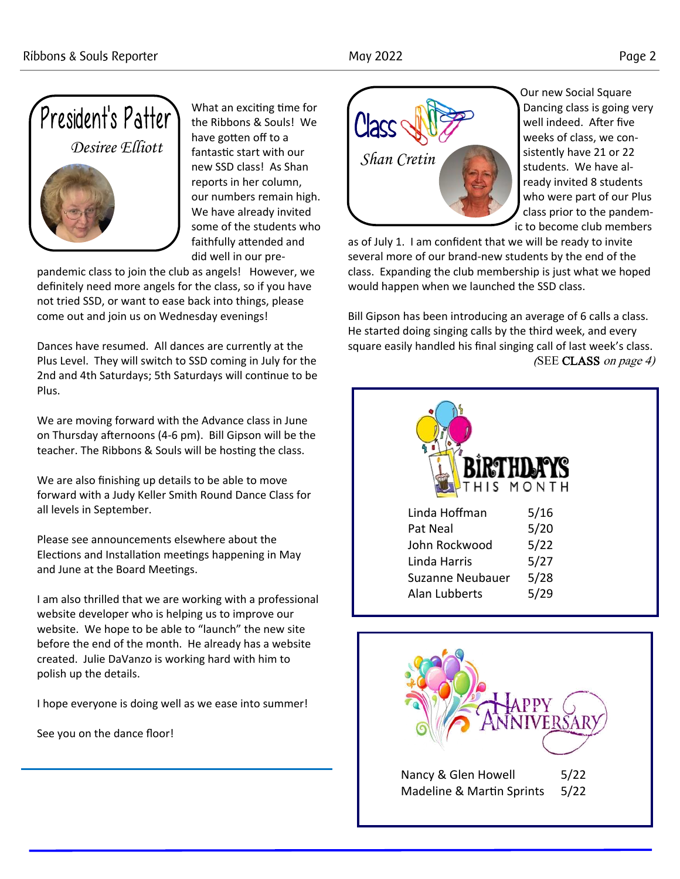

What an exciting time for the Ribbons & Souls! We have gotten off to a fantastic start with our new SSD class! As Shan reports in her column, our numbers remain high. We have already invited some of the students who faithfully attended and did well in our pre-

pandemic class to join the club as angels! However, we definitely need more angels for the class, so if you have not tried SSD, or want to ease back into things, please come out and join us on Wednesday evenings!

Dances have resumed. All dances are currently at the Plus Level. They will switch to SSD coming in July for the 2nd and 4th Saturdays; 5th Saturdays will continue to be Plus.

We are moving forward with the Advance class in June on Thursday afternoons (4-6 pm). Bill Gipson will be the teacher. The Ribbons & Souls will be hosting the class.

We are also finishing up details to be able to move forward with a Judy Keller Smith Round Dance Class for all levels in September.

Please see announcements elsewhere about the Elections and Installation meetings happening in May and June at the Board Meetings.

I am also thrilled that we are working with a professional website developer who is helping us to improve our website. We hope to be able to "launch" the new site before the end of the month. He already has a website created. Julie DaVanzo is working hard with him to polish up the details.

I hope everyone is doing well as we ease into summer!

See you on the dance floor!



Our new Social Square Dancing class is going very well indeed. After five weeks of class, we consistently have 21 or 22 students. We have already invited 8 students who were part of our Plus class prior to the pandemic to become club members

as of July 1. I am confident that we will be ready to invite several more of our brand-new students by the end of the class. Expanding the club membership is just what we hoped would happen when we launched the SSD class.

Bill Gipson has been introducing an average of 6 calls a class. He started doing singing calls by the third week, and every square easily handled his final singing call of last week's class. (SEE CLASS on page 4)

| THIS MONTH           |      |
|----------------------|------|
| Linda Hoffman        | 5/16 |
| Pat Neal             | 5/20 |
| John Rockwood        | 5/22 |
| Linda Harris         | 5/27 |
| Suzanne Neubauer     | 5/28 |
| <b>Alan Lubberts</b> | 5/29 |

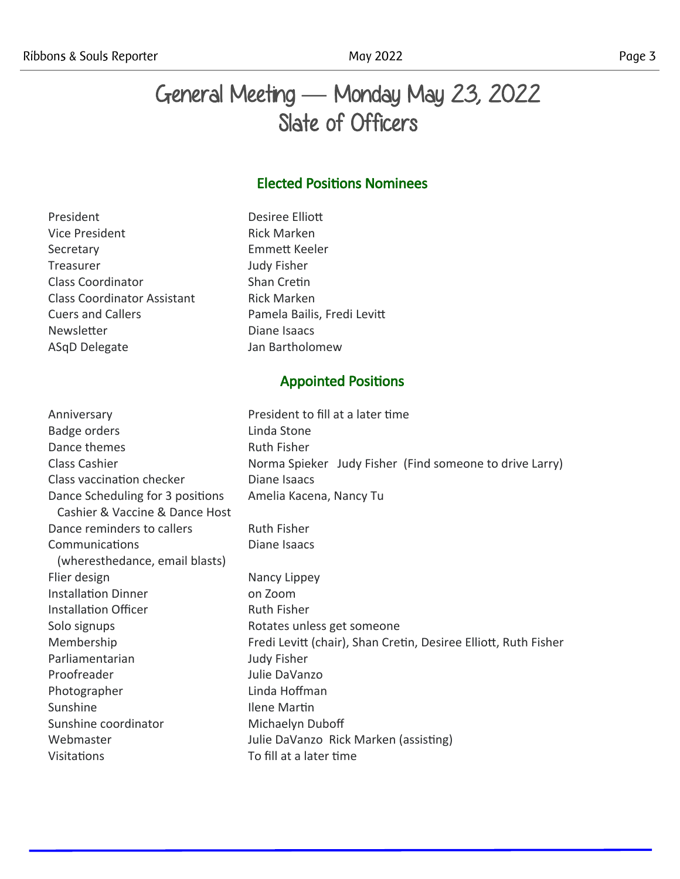# General Meeting **—** Monday May 23, 2022 Slate of Officers

# Elected Positions Nominees

President Desiree Elliott Vice President **Rick Marken** Secretary Emmett Keeler Treasurer Judy Fisher Class Coordinator **Shan Cretin** Class Coordinator Assistant Rick Marken Cuers and Callers **Pamela Bailis**, Fredi Levitt Newsletter **Diane Isaacs** ASqD Delegate Jan Bartholomew

## Appointed Positions

Anniversary **President to fill at a later time** Badge orders **Linda Stone** Dance themes Ruth Fisher Class Cashier **Norma Spieker** Judy Fisher (Find someone to drive Larry) Class vaccination checker Diane Isaacs Dance Scheduling for 3 positions Amelia Kacena, Nancy Tu Cashier & Vaccine & Dance Host Dance reminders to callers Ruth Fisher Communications Diane Isaacs (wheresthedance, email blasts) Flier design Nancy Lippey Installation Dinner **combination** on Zoom Installation Officer **Ruth Fisher** Ruth Fisher Solo signups **Rotates** unless get someone Membership Fredi Levitt (chair), Shan Cretin, Desiree Elliott, Ruth Fisher Parliamentarian Judy Fisher Proofreader **Julie DaVanzo** Photographer Linda Hoffman Sunshine **Ilene Martin** Sunshine coordinator Michaelyn Duboff Webmaster **Julie DaVanzo Rick Marken (assisting)** Visitations To fill at a later time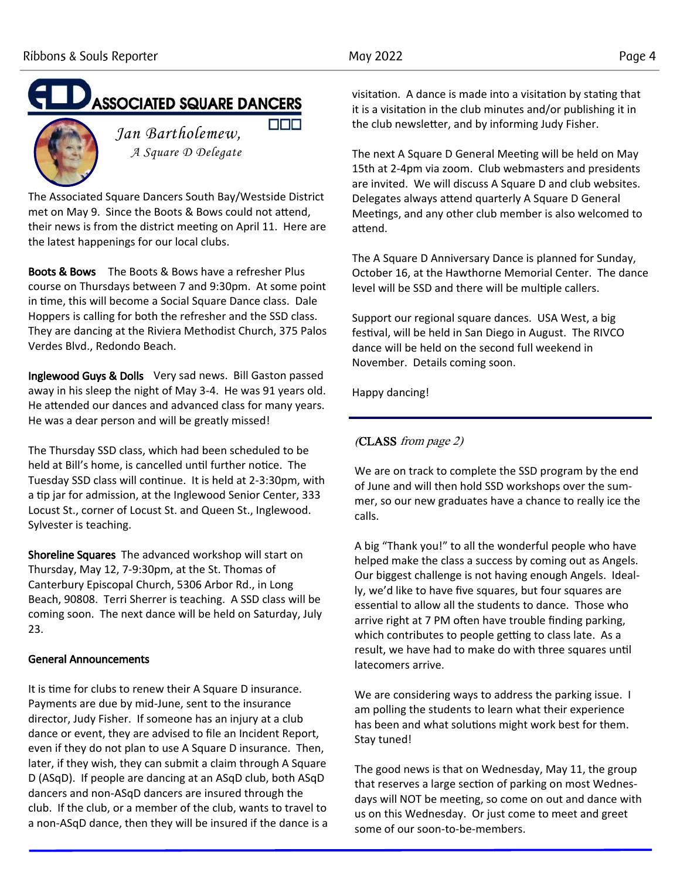# **ASSOCIATED SQUARE DANCERS DDD**



*Jan Bartholemew, A Square D Delegate*

The Associated Square Dancers South Bay/Westside District met on May 9. Since the Boots & Bows could not attend, their news is from the district meeting on April 11. Here are the latest happenings for our local clubs.

Boots & Bows The Boots & Bows have a refresher Plus course on Thursdays between 7 and 9:30pm. At some point in time, this will become a Social Square Dance class. Dale Hoppers is calling for both the refresher and the SSD class. They are dancing at the Riviera Methodist Church, 375 Palos Verdes Blvd., Redondo Beach.

Inglewood Guys & Dolls Very sad news. Bill Gaston passed away in his sleep the night of May 3-4. He was 91 years old. He attended our dances and advanced class for many years. He was a dear person and will be greatly missed!

The Thursday SSD class, which had been scheduled to be held at Bill's home, is cancelled until further notice. The Tuesday SSD class will continue. It is held at 2-3:30pm, with a tip jar for admission, at the Inglewood Senior Center, 333 Locust St., corner of Locust St. and Queen St., Inglewood. Sylvester is teaching.

Shoreline Squares The advanced workshop will start on Thursday, May 12, 7-9:30pm, at the St. Thomas of Canterbury Episcopal Church, 5306 Arbor Rd., in Long Beach, 90808. Terri Sherrer is teaching. A SSD class will be coming soon. The next dance will be held on Saturday, July 23.

### General Announcements

It is time for clubs to renew their A Square D insurance. Payments are due by mid-June, sent to the insurance director, Judy Fisher. If someone has an injury at a club dance or event, they are advised to file an Incident Report, even if they do not plan to use A Square D insurance. Then, later, if they wish, they can submit a claim through A Square D (ASqD). If people are dancing at an ASqD club, both ASqD dancers and non-ASqD dancers are insured through the club. If the club, or a member of the club, wants to travel to a non-ASqD dance, then they will be insured if the dance is a visitation. A dance is made into a visitation by stating that it is a visitation in the club minutes and/or publishing it in the club newsletter, and by informing Judy Fisher.

The next A Square D General Meeting will be held on May 15th at 2-4pm via zoom. Club webmasters and presidents are invited. We will discuss A Square D and club websites. Delegates always attend quarterly A Square D General Meetings, and any other club member is also welcomed to attend.

The A Square D Anniversary Dance is planned for Sunday, October 16, at the Hawthorne Memorial Center. The dance level will be SSD and there will be multiple callers.

Support our regional square dances. USA West, a big festival, will be held in San Diego in August. The RIVCO dance will be held on the second full weekend in November. Details coming soon.

Happy dancing!

# (CLASS from page 2)

We are on track to complete the SSD program by the end of June and will then hold SSD workshops over the summer, so our new graduates have a chance to really ice the calls.

A big "Thank you!" to all the wonderful people who have helped make the class a success by coming out as Angels. Our biggest challenge is not having enough Angels. Ideally, we'd like to have five squares, but four squares are essential to allow all the students to dance. Those who arrive right at 7 PM often have trouble finding parking, which contributes to people getting to class late. As a result, we have had to make do with three squares until latecomers arrive.

We are considering ways to address the parking issue. I am polling the students to learn what their experience has been and what solutions might work best for them. Stay tuned!

The good news is that on Wednesday, May 11, the group that reserves a large section of parking on most Wednesdays will NOT be meeting, so come on out and dance with us on this Wednesday. Or just come to meet and greet some of our soon-to-be-members.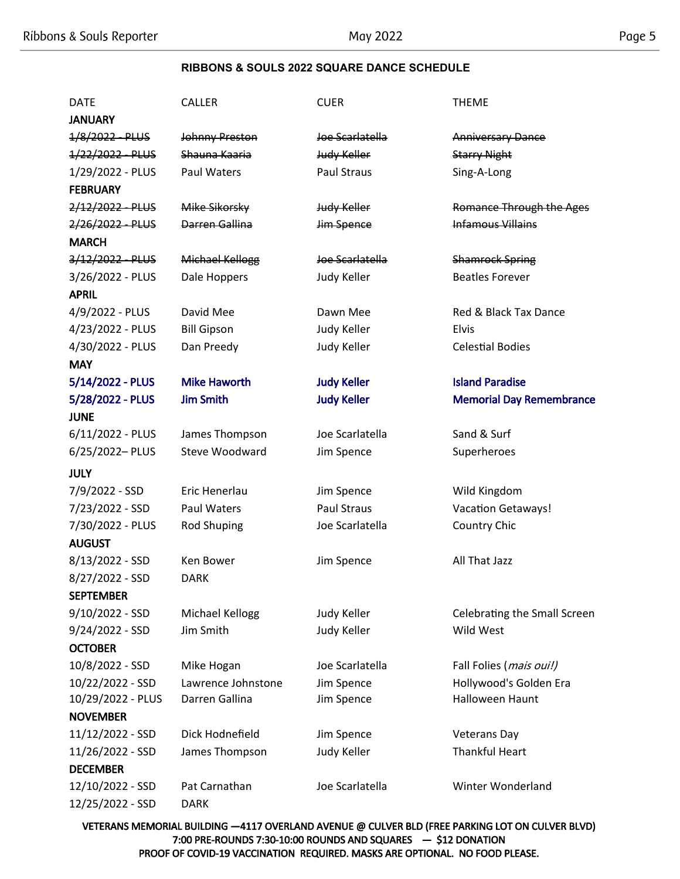### **RIBBONS & SOULS 2022 SQUARE DANCE SCHEDULE**

# DATE CALLER CUER CUER THEME **JANUARY** 1/8/2022 PLUS Johnny Preston Joe Scarlatella Anniversary Dance 1/22/2022 PLUS Shauna Kaaria Judy Keller Starry Night 1/29/2022 - PLUS Paul Waters Paul Straus Sing-A-Long **FEBRUARY** 2/12/2022 - PLUS Mike Sikorsky Judy Keller Romance Through the Ages 2/26/2022 PLUS Darren Gallina Jim Spence Jim Infamous Villains MARCH 3/12/2022 PLUS Michael Kellogg Joe Scarlatella Shamrock Spring 3/26/2022 - PLUS Dale Hoppers Judy Keller Beatles Forever APRIL 4/9/2022 - PLUS David Mee Dawn Mee Red & Black Tax Dance 4/23/2022 - PLUS Bill Gipson Judy Keller Elvis 4/30/2022 - PLUS Dan Preedy Judy Keller Celestial Bodies MAY 5/14/2022 - PLUS Mike Haworth Judy Keller Island Paradise 5/28/2022 - PLUS Jim Smith Judy Keller Memorial Day Remembrance JUNE 6/11/2022 - PLUS James Thompson Joe Scarlatella Sand & Surf 6/25/2022– PLUS Steve Woodward Jim Spence Superheroes JULY 7/9/2022 - SSD Eric Henerlau Jim Spence Wild Kingdom 7/23/2022 - SSD Paul Waters Paul Straus Vacation Getaways! 7/30/2022 - PLUS Rod Shuping Joe Scarlatella Country Chic AUGUST 8/13/2022 - SSD Ken Bower Jim Spence All That Jazz 8/27/2022 - SSD DARK SEPTEMBER 9/10/2022 - SSD Michael Kellogg Judy Keller Celebrating the Small Screen 9/24/2022 - SSD Jim Smith Judy Keller Wild West **OCTOBER** 10/8/2022 - SSD Mike Hogan Joe Scarlatella Fall Folies (mais oui!) 10/22/2022 - SSD Lawrence Johnstone Jim Spence Hollywood's Golden Era 10/29/2022 - PLUS Darren Gallina Jim Spence Halloween Haunt NOVEMBER 11/12/2022 - SSD Dick Hodnefield Jim Spence Veterans Day 11/26/2022 - SSD James Thompson Judy Keller Thankful Heart DECEMBER

12/10/2022 - SSD Pat Carnathan Joe Scarlatella Winter Wonderland 12/25/2022 - SSD DARK

VETERANS MEMORIAL BUILDING —4117 OVERLAND AVENUE @ CULVER BLD (FREE PARKING LOT ON CULVER BLVD) 7:00 PRE-ROUNDS 7:30-10:00 ROUNDS AND SQUARES — \$12 DONATION PROOF OF COVID-19 VACCINATION REQUIRED. MASKS ARE OPTIONAL. NO FOOD PLEASE.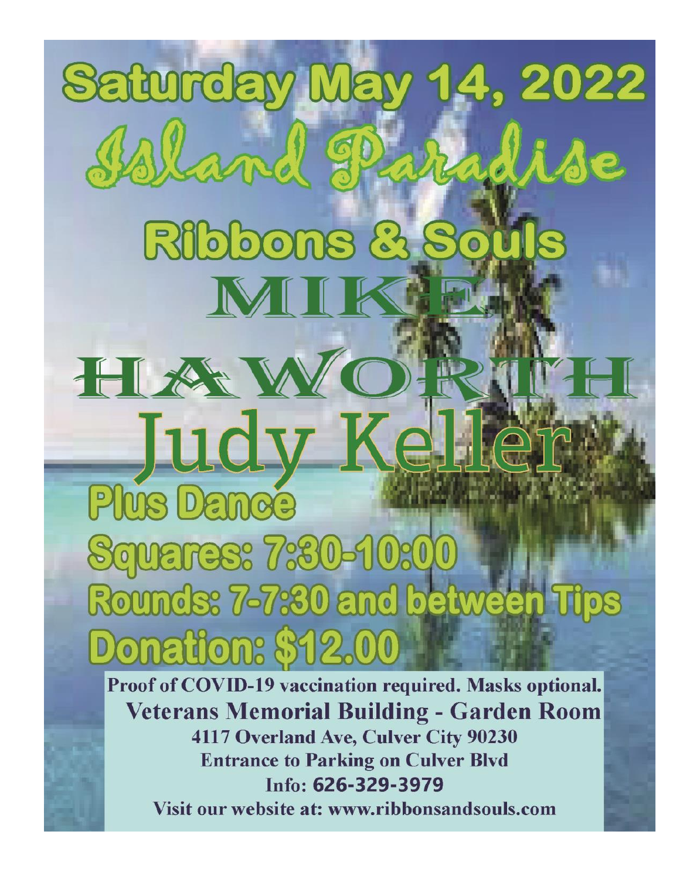**Saturday Ma** 1.2022 Const Ribbons HAV udv **Plus Dance** Squares: 7:80 Rounds: 7-7:30 and between Donation: \$12. Proof of COVID-19 vaccination required. Masks optional.

**Veterans Memorial Building - Garden Room** 4117 Overland Ave, Culver City 90230 **Entrance to Parking on Culver Blvd** Info: 626-329-3979 Visit our website at: www.ribbonsandsouls.com